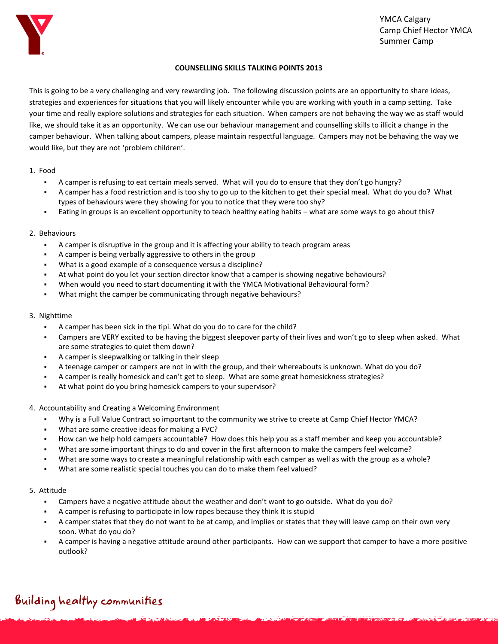

### **COUNSELLING SKILLS TALKING POINTS 2013**

This is going to be a very challenging and very rewarding job. The following discussion points are an opportunity to share ideas, strategies and experiences for situations that you will likely encounter while you are working with youth in a camp setting. Take your time and really explore solutions and strategies for each situation. When campers are not behaving the way we as staff would like, we should take it as an opportunity. We can use our behaviour management and counselling skills to illicit a change in the camper behaviour. When talking about campers, please maintain respectful language. Campers may not be behaving the way we would like, but they are not 'problem children'.

### 1. Food

- A camper is refusing to eat certain meals served. What will you do to ensure that they don't go hungry?
- A camper has a food restriction and is too shy to go up to the kitchen to get their special meal. What do you do? What types of behaviours were they showing for you to notice that they were too shy?
- Eating in groups is an excellent opportunity to teach healthy eating habits what are some ways to go about this?

### 2. Behaviours

- A camper is disruptive in the group and it is affecting your ability to teach program areas
- A camper is being verbally aggressive to others in the group
- What is a good example of a consequence versus a discipline?
- At what point do you let your section director know that a camper is showing negative behaviours?
- When would you need to start documenting it with the YMCA Motivational Behavioural form?
- What might the camper be communicating through negative behaviours?

### 3. Nighttime

- A camper has been sick in the tipi. What do you do to care for the child?
- Campers are VERY excited to be having the biggest sleepover party of their lives and won't go to sleep when asked. What are some strategies to quiet them down?
- A camper is sleepwalking or talking in their sleep
- A teenage camper or campers are not in with the group, and their whereabouts is unknown. What do you do?
- A camper is really homesick and can't get to sleep. What are some great homesickness strategies?
- At what point do you bring homesick campers to your supervisor?
- 4. Accountability and Creating a Welcoming Environment
	- Why is a Full Value Contract so important to the community we strive to create at Camp Chief Hector YMCA?
	- What are some creative ideas for making a FVC?
	- How can we help hold campers accountable? How does this help you as a staff member and keep you accountable?
	- What are some important things to do and cover in the first afternoon to make the campers feel welcome?
	- What are some ways to create a meaningful relationship with each camper as well as with the group as a whole?
	- What are some realistic special touches you can do to make them feel valued?

### 5. Attitude

- Campers have a negative attitude about the weather and don't want to go outside. What do you do?
- A camper is refusing to participate in low ropes because they think it is stupid
- A camper states that they do not want to be at camp, and implies or states that they will leave camp on their own very soon. What do you do?
- A camper is having a negative attitude around other participants. How can we support that camper to have a more positive outlook?

## Building healthy communities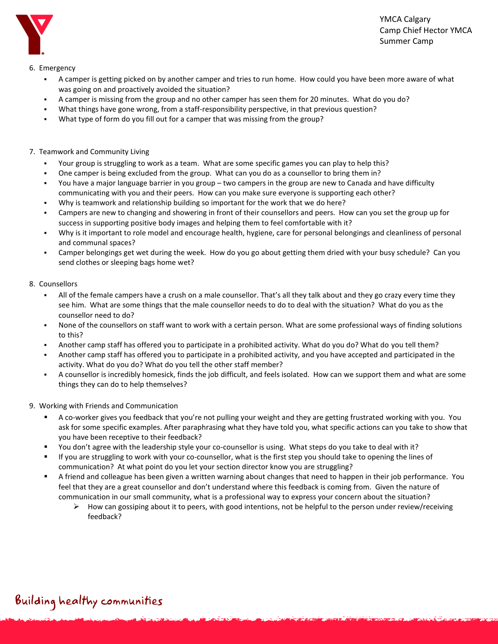

6. Emergency

- A camper is getting picked on by another camper and tries to run home. How could you have been more aware of what was going on and proactively avoided the situation?
- A camper is missing from the group and no other camper has seen them for 20 minutes. What do you do?
- What things have gone wrong, from a staff-responsibility perspective, in that previous question?
- What type of form do you fill out for a camper that was missing from the group?
- 7. Teamwork and Community Living
	- Your group is struggling to work as a team. What are some specific games you can play to help this?
	- One camper is being excluded from the group. What can you do as a counsellor to bring them in?
	- You have a major language barrier in you group two campers in the group are new to Canada and have difficulty communicating with you and their peers. How can you make sure everyone is supporting each other?
	- Why is teamwork and relationship building so important for the work that we do here?
	- Campers are new to changing and showering in front of their counsellors and peers. How can you set the group up for success in supporting positive body images and helping them to feel comfortable with it?
	- Why is it important to role model and encourage health, hygiene, care for personal belongings and cleanliness of personal and communal spaces?
	- Camper belongings get wet during the week. How do you go about getting them dried with your busy schedule? Can you send clothes or sleeping bags home wet?

### 8. Counsellors

- All of the female campers have a crush on a male counsellor. That's all they talk about and they go crazy every time they see him. What are some things that the male counsellor needs to do to deal with the situation? What do you as the counsellor need to do?
- None of the counsellors on staff want to work with a certain person. What are some professional ways of finding solutions to this?
- Another camp staff has offered you to participate in a prohibited activity. What do you do? What do you tell them?
- Another camp staff has offered you to participate in a prohibited activity, and you have accepted and participated in the activity. What do you do? What do you tell the other staff member?
- A counsellor is incredibly homesick, finds the job difficult, and feels isolated. How can we support them and what are some things they can do to help themselves?
- 9. Working with Friends and Communication
	- A co-worker gives you feedback that you're not pulling your weight and they are getting frustrated working with you. You ask for some specific examples. After paraphrasing what they have told you, what specific actions can you take to show that you have been receptive to their feedback?
	- You don't agree with the leadership style your co-counsellor is using. What steps do you take to deal with it?
	- If you are struggling to work with your co-counsellor, what is the first step you should take to opening the lines of communication? At what point do you let your section director know you are struggling?
	- A friend and colleague has been given a written warning about changes that need to happen in their job performance. You feel that they are a great counsellor and don't understand where this feedback is coming from. Given the nature of communication in our small community, what is a professional way to express your concern about the situation?
		- $\triangleright$  How can gossiping about it to peers, with good intentions, not be helpful to the person under review/receiving feedback?

# Building healthy communities